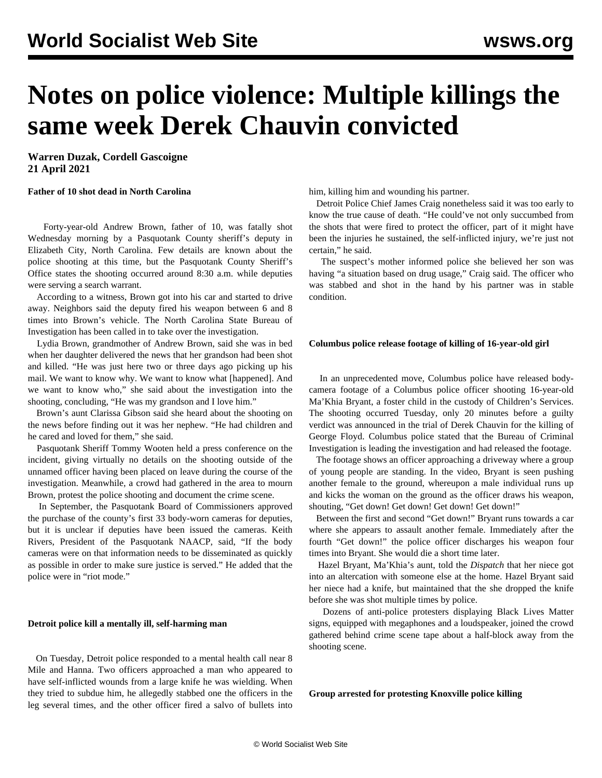# **Notes on police violence: Multiple killings the same week Derek Chauvin convicted**

**Warren Duzak, Cordell Gascoigne 21 April 2021**

### **Father of 10 shot dead in North Carolina**

 Forty-year-old Andrew Brown, father of 10, was fatally shot Wednesday morning by a Pasquotank County sheriff's deputy in Elizabeth City, North Carolina. Few details are known about the police shooting at this time, but the Pasquotank County Sheriff's Office states the shooting occurred around 8:30 a.m. while deputies were serving a search warrant.

 According to a witness, Brown got into his car and started to drive away. Neighbors said the deputy fired his weapon between 6 and 8 times into Brown's vehicle. The North Carolina State Bureau of Investigation has been called in to take over the investigation.

 Lydia Brown, grandmother of Andrew Brown, said she was in bed when her daughter delivered the news that her grandson had been shot and killed. "He was just here two or three days ago picking up his mail. We want to know why. We want to know what [happened]. And we want to know who," she said about the investigation into the shooting, concluding, "He was my grandson and I love him."

 Brown's aunt Clarissa Gibson said she heard about the shooting on the news before finding out it was her nephew. "He had children and he cared and loved for them," she said.

 Pasquotank Sheriff Tommy Wooten held a press conference on the incident, giving virtually no details on the shooting outside of the unnamed officer having been placed on leave during the course of the investigation. Meanwhile, a crowd had gathered in the area to mourn Brown, protest the police shooting and document the crime scene.

 In September, the Pasquotank Board of Commissioners approved the purchase of the county's first 33 body-worn cameras for deputies, but it is unclear if deputies have been issued the cameras. Keith Rivers, President of the Pasquotank NAACP, said, "If the body cameras were on that information needs to be disseminated as quickly as possible in order to make sure justice is served." He added that the police were in "riot mode."

## **Detroit police kill a mentally ill, self-harming man**

 On Tuesday, Detroit police responded to a mental health call near 8 Mile and Hanna. Two officers approached a man who appeared to have self-inflicted wounds from a large knife he was wielding. When they tried to subdue him, he allegedly stabbed one the officers in the leg several times, and the other officer fired a salvo of bullets into him, killing him and wounding his partner.

 Detroit Police Chief James Craig nonetheless said it was too early to know the true cause of death. "He could've not only succumbed from the shots that were fired to protect the officer, part of it might have been the injuries he sustained, the self-inflicted injury, we're just not certain," he said.

 The suspect's mother informed police she believed her son was having "a situation based on drug usage," Craig said. The officer who was stabbed and shot in the hand by his partner was in stable condition.

#### **Columbus police release footage of killing of 16-year-old girl**

 In an unprecedented move, Columbus police have released bodycamera footage of a Columbus police officer shooting 16-year-old Ma'Khia Bryant, a foster child in the custody of Children's Services. The shooting occurred Tuesday, only 20 minutes before a guilty verdict was announced in the trial of Derek Chauvin for the killing of George Floyd. Columbus police stated that the Bureau of Criminal Investigation is leading the investigation and had released the footage.

 The footage shows an officer approaching a driveway where a group of young people are standing. In the video, Bryant is seen pushing another female to the ground, whereupon a male individual runs up and kicks the woman on the ground as the officer draws his weapon, shouting, "Get down! Get down! Get down! Get down!"

 Between the first and second "Get down!" Bryant runs towards a car where she appears to assault another female. Immediately after the fourth "Get down!" the police officer discharges his weapon four times into Bryant. She would die a short time later.

 Hazel Bryant, Ma'Khia's aunt, told the *Dispatch* that her niece got into an altercation with someone else at the home. Hazel Bryant said her niece had a knife, but maintained that the she dropped the knife before she was shot multiple times by police.

 Dozens of anti-police protesters displaying Black Lives Matter signs, equipped with megaphones and a loudspeaker, joined the crowd gathered behind crime scene tape about a half-block away from the shooting scene.

**Group arrested for protesting Knoxville police killing**